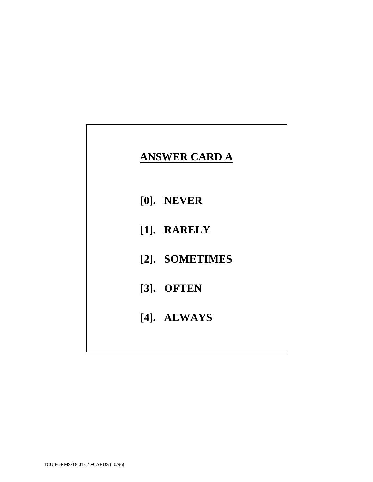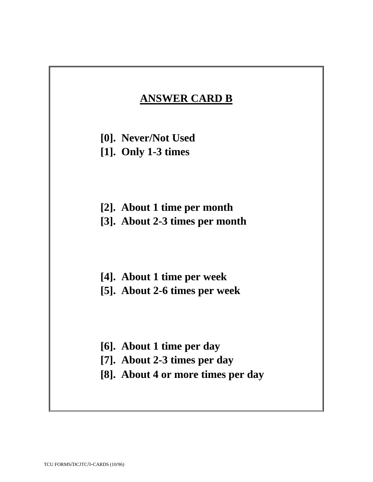## **ANSWER CARD B**

- **[0]. Never/Not Used**
- **[1]. Only 1-3 times**
- **[2]. About 1 time per month [3]. About 2-3 times per month**
- **[4]. About 1 time per week [5]. About 2-6 times per week**
- **[6]. About 1 time per day**
- **[7]. About 2-3 times per day**
- **[8]. About 4 or more times per day**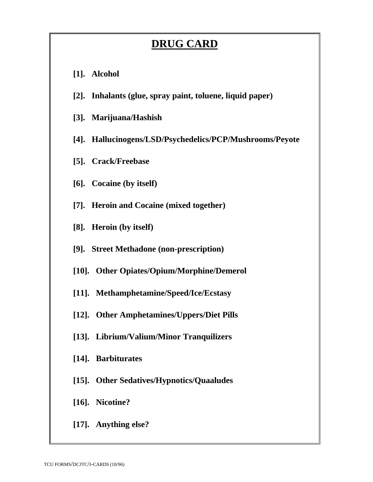## **DRUG CARD**

- **[1]. Alcohol**
- **[2]. Inhalants (glue, spray paint, toluene, liquid paper)**
- **[3]. Marijuana/Hashish**
- **[4]. Hallucinogens/LSD/Psychedelics/PCP/Mushrooms/Peyote**
- **[5]. Crack/Freebase**
- **[6]. Cocaine (by itself)**
- **[7]. Heroin and Cocaine (mixed together)**
- **[8]. Heroin (by itself)**
- **[9]. Street Methadone (non-prescription)**
- **[10]. Other Opiates/Opium/Morphine/Demerol**
- **[11]. Methamphetamine/Speed/Ice/Ecstasy**
- **[12]. Other Amphetamines/Uppers/Diet Pills**
- **[13]. Librium/Valium/Minor Tranquilizers**
- **[14]. Barbiturates**
- **[15]. Other Sedatives/Hypnotics/Quaaludes**
- **[16]. Nicotine?**
- **[17]. Anything else?**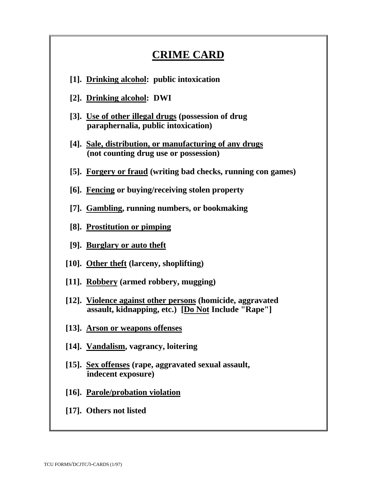## **CRIME CARD**

- **[1]. Drinking alcohol: public intoxication**
- **[2]. Drinking alcohol: DWI**
- **[3]. Use of other illegal drugs (possession of drug paraphernalia, public intoxication)**
- **[4]. Sale, distribution, or manufacturing of any drugs (not counting drug use or possession)**
- **[5]. Forgery or fraud (writing bad checks, running con games)**
- **[6]. Fencing or buying/receiving stolen property**
- **[7]. Gambling, running numbers, or bookmaking**
- **[8]. Prostitution or pimping**
- **[9]. Burglary or auto theft**
- **[10]. Other theft (larceny, shoplifting)**
- **[11]. Robbery (armed robbery, mugging)**
- **[12]. Violence against other persons (homicide, aggravated assault, kidnapping, etc.) [Do Not Include "Rape"]**
- **[13]. Arson or weapons offenses**
- **[14]. Vandalism, vagrancy, loitering**
- **[15]. Sex offenses (rape, aggravated sexual assault, indecent exposure)**
- **[16]. Parole/probation violation**
- **[17]. Others not listed**